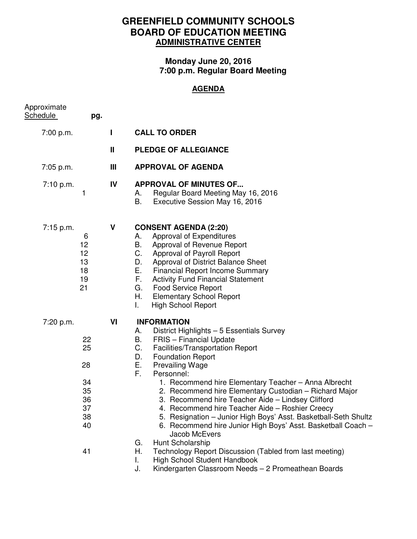## **GREENFIELD COMMUNITY SCHOOLS BOARD OF EDUCATION MEETING ADMINISTRATIVE CENTER**

## **Monday June 20, 2016 7:00 p.m. Regular Board Meeting**

## **AGENDA**

| Approximate<br><b>Schedule</b> | pg.                                                      |              |                                                                                                                                                                                                                                                                                                                                                                                                                                                                                                                                                                                                                                                                                                                                                                                                                           |
|--------------------------------|----------------------------------------------------------|--------------|---------------------------------------------------------------------------------------------------------------------------------------------------------------------------------------------------------------------------------------------------------------------------------------------------------------------------------------------------------------------------------------------------------------------------------------------------------------------------------------------------------------------------------------------------------------------------------------------------------------------------------------------------------------------------------------------------------------------------------------------------------------------------------------------------------------------------|
| 7:00 p.m.                      |                                                          | ш            | <b>CALL TO ORDER</b>                                                                                                                                                                                                                                                                                                                                                                                                                                                                                                                                                                                                                                                                                                                                                                                                      |
|                                |                                                          | $\mathbf{H}$ | <b>PLEDGE OF ALLEGIANCE</b>                                                                                                                                                                                                                                                                                                                                                                                                                                                                                                                                                                                                                                                                                                                                                                                               |
| 7:05 p.m.                      |                                                          | Ш            | <b>APPROVAL OF AGENDA</b>                                                                                                                                                                                                                                                                                                                                                                                                                                                                                                                                                                                                                                                                                                                                                                                                 |
| 7:10 p.m.                      | 1                                                        | IV           | <b>APPROVAL OF MINUTES OF</b><br>Regular Board Meeting May 16, 2016<br>А.<br>В.<br>Executive Session May 16, 2016                                                                                                                                                                                                                                                                                                                                                                                                                                                                                                                                                                                                                                                                                                         |
| 7:15 p.m.                      | 6<br>12<br>12<br>13<br>18<br>19<br>21                    | V            | <b>CONSENT AGENDA (2:20)</b><br>Approval of Expenditures<br>А.<br>В.<br>Approval of Revenue Report<br>C.<br>Approval of Payroll Report<br>Approval of District Balance Sheet<br>D.<br>Е.<br><b>Financial Report Income Summary</b><br>F.<br><b>Activity Fund Financial Statement</b><br><b>Food Service Report</b><br>G.<br>Н.<br><b>Elementary School Report</b><br>L.<br><b>High School Report</b>                                                                                                                                                                                                                                                                                                                                                                                                                      |
| 7:20 p.m.                      | 22<br>25<br>28<br>34<br>35<br>36<br>37<br>38<br>40<br>41 | VI           | <b>INFORMATION</b><br>District Highlights - 5 Essentials Survey<br>А.<br>В.<br><b>FRIS</b> – Financial Update<br>C.<br>Facilities/Transportation Report<br><b>Foundation Report</b><br>D.<br>Е.<br><b>Prevailing Wage</b><br>Personnel:<br>F.<br>1. Recommend hire Elementary Teacher - Anna Albrecht<br>2. Recommend hire Elementary Custodian - Richard Major<br>3. Recommend hire Teacher Aide - Lindsey Clifford<br>4. Recommend hire Teacher Aide - Roshier Creecy<br>5. Resignation - Junior High Boys' Asst. Basketball-Seth Shultz<br>6. Recommend hire Junior High Boys' Asst. Basketball Coach -<br>Jacob McEvers<br>Hunt Scholarship<br>G.<br>Η.<br>Technology Report Discussion (Tabled from last meeting)<br>High School Student Handbook<br>L.<br>Kindergarten Classroom Needs - 2 Promeathean Boards<br>J. |